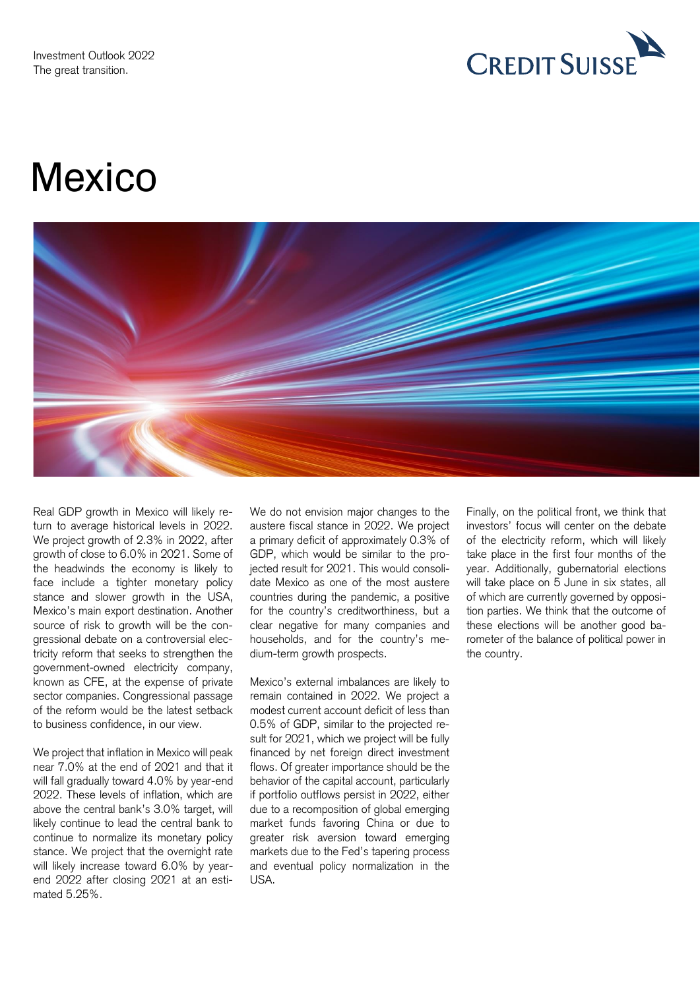The great transition.



# **Mexico**



Real GDP growth in Mexico will likely return to average historical levels in 2022. We project growth of 2.3% in 2022, after growth of close to 6.0% in 2021. Some of the headwinds the economy is likely to face include a tighter monetary policy stance and slower growth in the USA,<br>Mexico's main export destination. Another source of risk to growth will be the congressional debate on a controversial elec- tricity reform that seeks to strengthen the dium-term growth prospects. the country. government-owned electricity company, known as CFE, at the expense of private Mexico's external imbalances are likely to of the reform would be the latest setback turn to average historical levels in 2022. austere fiscal stance in 2022. We project investors' focus will center on the debate We project growth of 2.3% in 2022, after a primary deficit of approximately 0.3% of of the electricity reform, which will likely Mexico's main export destination. Another for the country's creditworthiness, but a tion parties. We think that the outcome of source of risk to growth will be the con- clear negative for many companies and these elections will be another good ba- sector companies. Congressional passage remain contained in 2022. We project a of the reform would be the latest setback modest current account deficit of less than to business confidence, in our view. 0.5% of GDP, similar to the projected re- Real GDP growth in Mexico will likely re- We do not envision major changes to the Finally, on the political front, we think that growth of close to 6.0% in 2021. Some of GDP, which would be similar to the pro- take place in the first four months of the face include a tighter monetary policy date Mexico as one of the most austere will take place on 5 June in six states, all gressional debate on a controversial elec- households, and for the country's me- rometer of the balance of political power in

We project that inflation in Mexico will peak near 7.0% at the end of 2021 and that it will fall gradually toward 4.0% by year-end 2022. These levels of inflation, which are above the central bank's 3.0% target, will likely continue to lead the central bank to continue to normalize its monetary policy stance. We project that the overnight rate will likely increase toward 6.0% by year- end 2022 after closing 2021 at an esti- USA. We project that inflation in Mexico will peak financed by net foreign direct investment near 7.0% at the end of 2021 and that it flows. Of greater importance should be the will fall gradually toward 4.0% by year-end behavior of the capital account, particularly 2022. These levels of inflation, which are if portfolio outflows persist in 2022, either likely continue to lead the central bank to market funds favoring China or due to continue to normalize its monetary policy greater risk aversion toward emerging will likely increase toward 6.0% by year- and eventual policy normalization in the mated 5.25%.

We do not envision major changes to the GDP, which would be similar to the projected result for 2021. This would consolidate Mexico as one of the most austere households, and for the country's mecountries during the pandemic, a positive

Mexico's external imbalances are likely to sult for 2021, which we project will be fully stance. We project that the overnight rate markets due to the Fed's tapering process due to a recomposition of global emerging

investors' focus will center on the debate of the electricity reform, which will likely of which are currently governed by opposition parties. We think that the outcome of these elections will be another good bayear. Additionally, gubernatorial elections